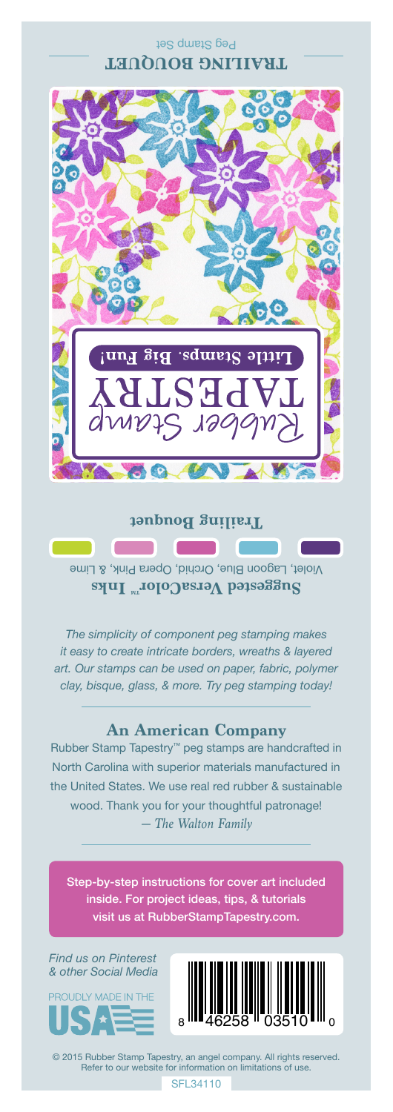#### Peg Stamp Set **TRAILING BOUQUET**



## **Trailing Bouquet**

**Contract** 

Violet, Lagoon Blue, Orchid, Opera Pink, & Lime **Suggested VersaColor** Inks

*The simplicity of component peg stamping makes it easy to create intricate borders, wreaths & layered art. Our stamps can be used on paper, fabric, polymer clay, bisque, glass, & more. Try peg stamping today!*

### **An American Company**

*— The Walton Family* Rubber Stamp Tapestry™ peg stamps are handcrafted in North Carolina with superior materials manufactured in the United States. We use real red rubber & sustainable wood. Thank you for your thoughtful patronage!

Step-by-step instructions for cover art included inside. For project ideas, tips, & tutorials visit us at RubberStampTapestry.com.

*Find us on Pinterest & other Social Media*





© 2015 Rubber Stamp Tapestry, an angel company. All rights reserved. Refer to our website for information on limitations of use.